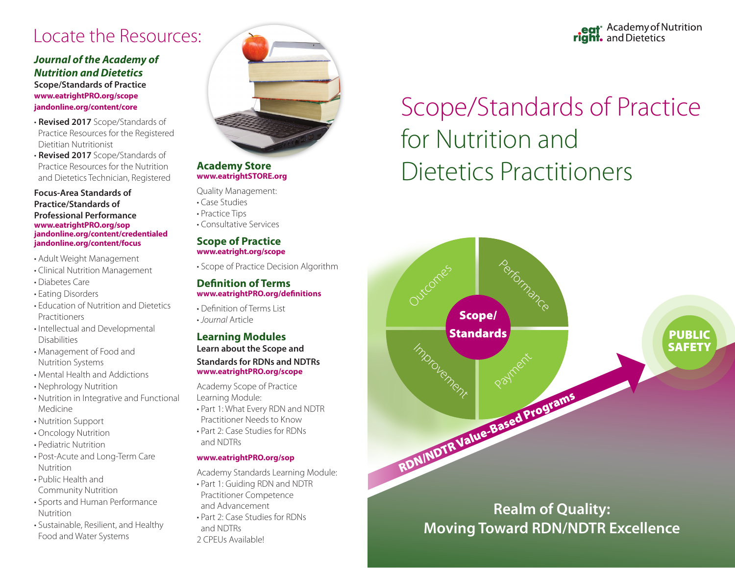# Locate the Resources:

# *Journal of the Academy of Nutrition and Dietetics*

**Scope/Standards of Practice www.eatrightPRO.org/scope jandonline.org/content/core**

- **Revised 2017** Scope/Standards of Practice Resources for the Registered Dietitian Nutritionist
- **Revised 2017** Scope/Standards of Practice Resources for the Nutrition and Dietetics Technician, Registered

**Focus-Area Standards of Practice/Standards of Professional Performance www.eatrightPRO.org/sop jandonline.org/content/credentialed jandonline.org/content/focus**

- Adult Weight Management
- Clinical Nutrition Management
- Diabetes Care
- Eating Disorders
- Education of Nutrition and Dietetics **Practitioners**
- Intellectual and Developmental Disabilities
- Management of Food and Nutrition Systems
- Mental Health and Addictions
- Nephrology Nutrition
- Nutrition in Integrative and Functional Medicine
- Nutrition Support
- Oncology Nutrition
- Pediatric Nutrition
- Post-Acute and Long-Term Care Nutrition
- Public Health and Community Nutrition
- Sports and Human Performance Nutrition
- Sustainable, Resilient, and Healthy Food and Water Systems



### **Academy Store www.eatrightSTORE.org**

- Quality Management:
- Case Studies
- Practice Tips
- Consultative Services

### **Scope of Practice www.eatright.org/scope**

• Scope of Practice Decision Algorithm

## **Definition of Terms www.eatrightPRO.org/definitions**

• Definition of Terms List • *Journal* Article

# **Learning Modules**

**Learn about the Scope and** 

#### **Standards for RDNs and NDTRs www.eatrightPRO.org/scope**

Academy Scope of Practice Learning Module:

- Part 1: What Every RDN and NDTR Practitioner Needs to Know
- Part 2: Case Studies for RDNs and NDTRs

### **www.eatrightPRO.org/sop**

- Academy Standards Learning Module:
- Part 1: Guiding RDN and NDTR Practitioner Competence
- and Advancement
- Part 2: Case Studies for RDNs
- and NDTRs

## 2 CPEUs Available!

# eat<sup>®</sup> Academy of Nutrition right. and Dietetics

# Scope/Standards of Practice for Nutrition and Dietetics Practitioners



# **Realm of Quality: Moving Toward RDN/NDTR Excellence**